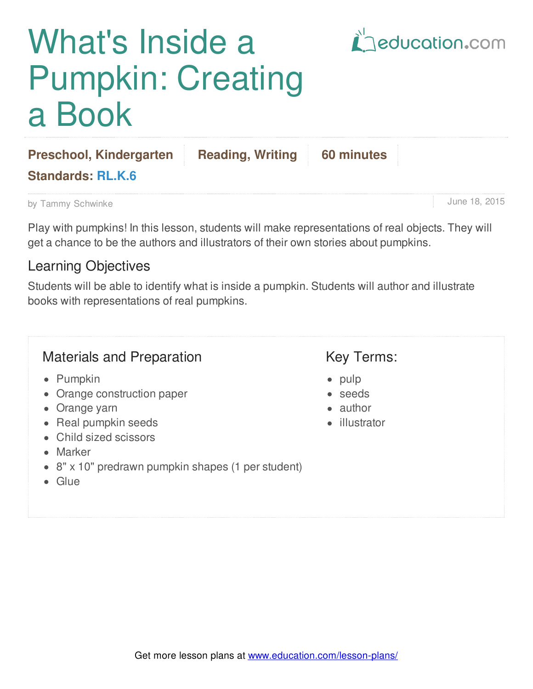# What's Inside a Pumpkin: Creating a Book



June 18, 2015

| <b>Preschool, Kindergarten</b> | <b>Reading, Writing 60 minutes</b> |  |
|--------------------------------|------------------------------------|--|
| <b>Standards: RL.K.6</b>       |                                    |  |

by Tammy Schwinke

Play with pumpkins! In this lesson, students will make representations of real objects. They will get a chance to be the authors and illustrators of their own stories about pumpkins.

### Learning Objectives

Students will be able to identify what is inside a pumpkin. Students will author and illustrate books with representations of real pumpkins.

### Materials and Preparation

- Pumpkin
- Orange construction paper
- Orange yarn
- Real pumpkin seeds
- Child sized scissors
- Marker
- 8" x 10" predrawn pumpkin shapes (1 per student)
- Glue

# Key Terms:

- pulp
- seeds
- author
- **·** illustrator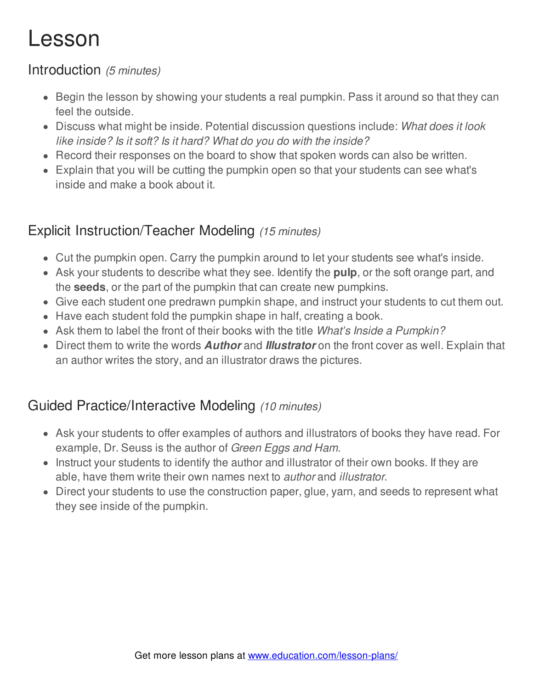# Lesson

#### Introduction *(5 minutes)*

- Begin the lesson by showing your students a real pumpkin. Pass it around so that they can feel the outside.
- Discuss what might be inside. Potential discussion questions include: *What does it look like inside? Is it soft? Is it hard? What do you do with the inside?*
- Record their responses on the board to show that spoken words can also be written.
- Explain that you will be cutting the pumpkin open so that your students can see what's inside and make a book about it.

# Explicit Instruction/Teacher Modeling *(15 minutes)*

- Cut the pumpkin open. Carry the pumpkin around to let your students see what's inside.
- Ask your students to describe what they see. Identify the **pulp**, or the soft orange part, and the **seeds**, or the part of the pumpkin that can create new pumpkins.
- Give each student one predrawn pumpkin shape, and instruct your students to cut them out.
- Have each student fold the pumpkin shape in half, creating a book.
- Ask them to label the front of their books with the title *What's Inside a Pumpkin?*
- Direct them to write the words *Author* and *Illustrator* on the front cover as well. Explain that an author writes the story, and an illustrator draws the pictures.

# Guided Practice/Interactive Modeling *(10 minutes)*

- Ask your students to offer examples of authors and illustrators of books they have read. For example, Dr. Seuss is the author of *Green Eggs and Ham*.
- Instruct your students to identify the author and illustrator of their own books. If they are able, have them write their own names next to *author* and *illustrator*.
- Direct your students to use the construction paper, glue, yarn, and seeds to represent what they see inside of the pumpkin.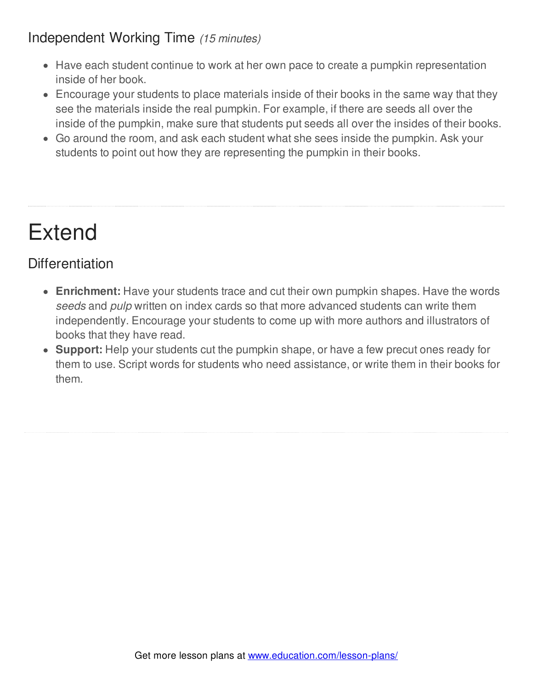### Independent Working Time *(15 minutes)*

- Have each student continue to work at her own pace to create a pumpkin representation inside of her book.
- Encourage your students to place materials inside of their books in the same way that they see the materials inside the real pumpkin. For example, if there are seeds all over the inside of the pumpkin, make sure that students put seeds all over the insides of their books.
- Go around the room, and ask each student what she sees inside the pumpkin. Ask your students to point out how they are representing the pumpkin in their books.

# Extend

# **Differentiation**

- **Enrichment:** Have your students trace and cut their own pumpkin shapes. Have the words *seeds* and *pulp* written on index cards so that more advanced students can write them independently. Encourage your students to come up with more authors and illustrators of books that they have read.
- **Support:** Help your students cut the pumpkin shape, or have a few precut ones ready for them to use. Script words for students who need assistance, or write them in their books for them.